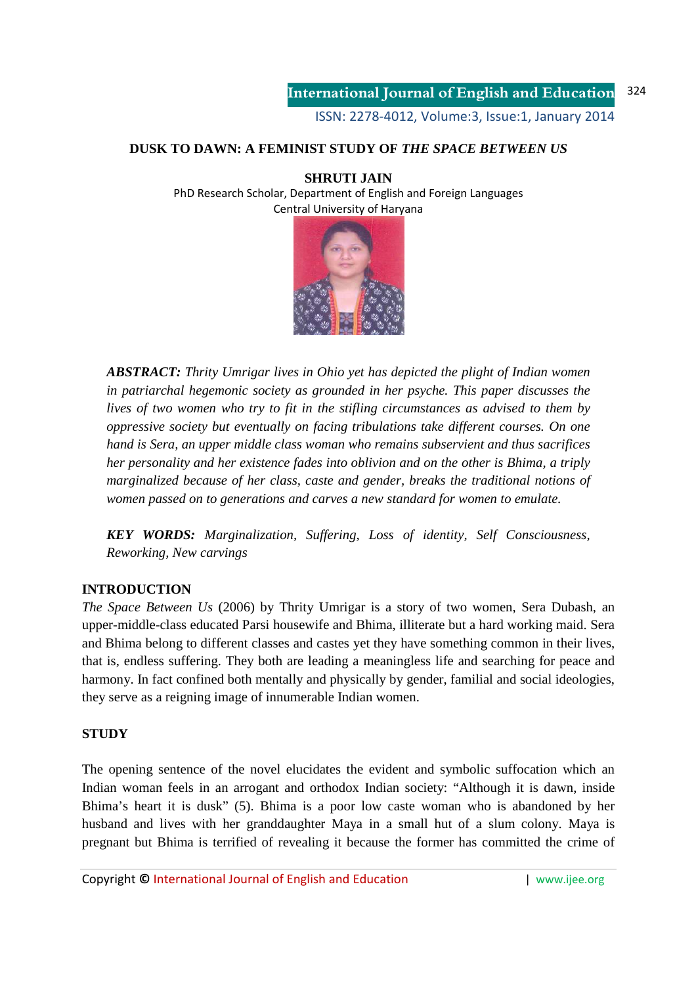# **DUSK TO DAWN: A FEMINIST STUDY OF** *THE SPACE BETWEEN US*

### **SHRUTI JAIN**

PhD Research Scholar, Department of English and Foreign Languages Central University of Haryana



*ABSTRACT: Thrity Umrigar lives in Ohio yet has depicted the plight of Indian women in patriarchal hegemonic society as grounded in her psyche. This paper discusses the lives of two women who try to fit in the stifling circumstances as advised to them by oppressive society but eventually on facing tribulations take different courses. On one hand is Sera, an upper middle class woman who remains subservient and thus sacrifices her personality and her existence fades into oblivion and on the other is Bhima, a triply marginalized because of her class, caste and gender, breaks the traditional notions of women passed on to generations and carves a new standard for women to emulate.* 

*KEY WORDS: Marginalization, Suffering, Loss of identity, Self Consciousness, Reworking, New carvings* 

### **INTRODUCTION**

*The Space Between Us* (2006) by Thrity Umrigar is a story of two women, Sera Dubash, an upper-middle-class educated Parsi housewife and Bhima, illiterate but a hard working maid. Sera and Bhima belong to different classes and castes yet they have something common in their lives, that is, endless suffering. They both are leading a meaningless life and searching for peace and harmony. In fact confined both mentally and physically by gender, familial and social ideologies, they serve as a reigning image of innumerable Indian women.

### **STUDY**

The opening sentence of the novel elucidates the evident and symbolic suffocation which an Indian woman feels in an arrogant and orthodox Indian society: "Although it is dawn, inside Bhima's heart it is dusk" (5). Bhima is a poor low caste woman who is abandoned by her husband and lives with her granddaughter Maya in a small hut of a slum colony. Maya is pregnant but Bhima is terrified of revealing it because the former has committed the crime of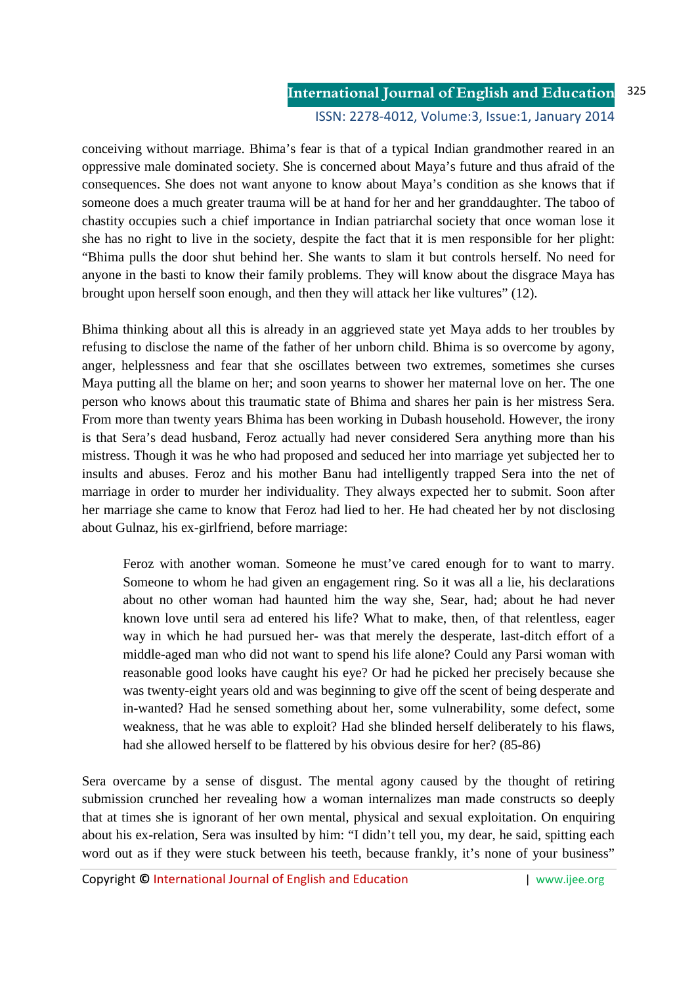conceiving without marriage. Bhima's fear is that of a typical Indian grandmother reared in an oppressive male dominated society. She is concerned about Maya's future and thus afraid of the consequences. She does not want anyone to know about Maya's condition as she knows that if someone does a much greater trauma will be at hand for her and her granddaughter. The taboo of chastity occupies such a chief importance in Indian patriarchal society that once woman lose it she has no right to live in the society, despite the fact that it is men responsible for her plight: "Bhima pulls the door shut behind her. She wants to slam it but controls herself. No need for anyone in the basti to know their family problems. They will know about the disgrace Maya has brought upon herself soon enough, and then they will attack her like vultures" (12).

Bhima thinking about all this is already in an aggrieved state yet Maya adds to her troubles by refusing to disclose the name of the father of her unborn child. Bhima is so overcome by agony, anger, helplessness and fear that she oscillates between two extremes, sometimes she curses Maya putting all the blame on her; and soon yearns to shower her maternal love on her. The one person who knows about this traumatic state of Bhima and shares her pain is her mistress Sera. From more than twenty years Bhima has been working in Dubash household. However, the irony is that Sera's dead husband, Feroz actually had never considered Sera anything more than his mistress. Though it was he who had proposed and seduced her into marriage yet subjected her to insults and abuses. Feroz and his mother Banu had intelligently trapped Sera into the net of marriage in order to murder her individuality. They always expected her to submit. Soon after her marriage she came to know that Feroz had lied to her. He had cheated her by not disclosing about Gulnaz, his ex-girlfriend, before marriage:

Feroz with another woman. Someone he must've cared enough for to want to marry. Someone to whom he had given an engagement ring. So it was all a lie, his declarations about no other woman had haunted him the way she, Sear, had; about he had never known love until sera ad entered his life? What to make, then, of that relentless, eager way in which he had pursued her- was that merely the desperate, last-ditch effort of a middle-aged man who did not want to spend his life alone? Could any Parsi woman with reasonable good looks have caught his eye? Or had he picked her precisely because she was twenty-eight years old and was beginning to give off the scent of being desperate and in-wanted? Had he sensed something about her, some vulnerability, some defect, some weakness, that he was able to exploit? Had she blinded herself deliberately to his flaws, had she allowed herself to be flattered by his obvious desire for her? (85-86)

Sera overcame by a sense of disgust. The mental agony caused by the thought of retiring submission crunched her revealing how a woman internalizes man made constructs so deeply that at times she is ignorant of her own mental, physical and sexual exploitation. On enquiring about his ex-relation, Sera was insulted by him: "I didn't tell you, my dear, he said, spitting each word out as if they were stuck between his teeth, because frankly, it's none of your business"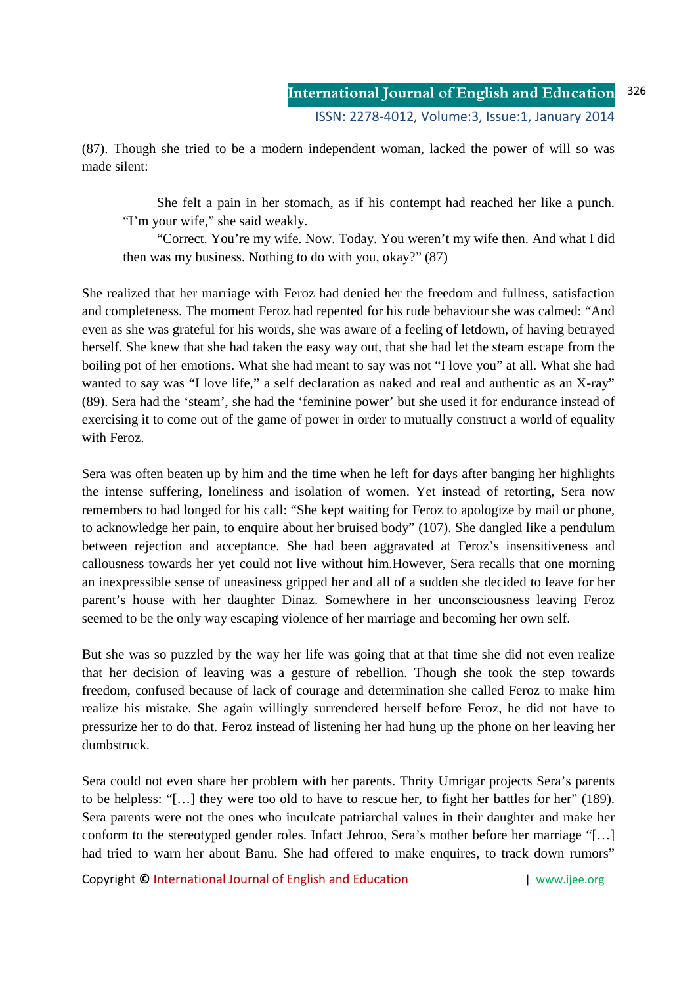(87). Though she tried to be a modern independent woman, lacked the power of will so was made silent:

 She felt a pain in her stomach, as if his contempt had reached her like a punch. "I'm your wife," she said weakly.

 "Correct. You're my wife. Now. Today. You weren't my wife then. And what I did then was my business. Nothing to do with you, okay?" (87)

She realized that her marriage with Feroz had denied her the freedom and fullness, satisfaction and completeness. The moment Feroz had repented for his rude behaviour she was calmed: "And even as she was grateful for his words, she was aware of a feeling of letdown, of having betrayed herself. She knew that she had taken the easy way out, that she had let the steam escape from the boiling pot of her emotions. What she had meant to say was not "I love you" at all. What she had wanted to say was "I love life," a self declaration as naked and real and authentic as an X-ray" (89). Sera had the 'steam', she had the 'feminine power' but she used it for endurance instead of exercising it to come out of the game of power in order to mutually construct a world of equality with Feroz.

Sera was often beaten up by him and the time when he left for days after banging her highlights the intense suffering, loneliness and isolation of women. Yet instead of retorting, Sera now remembers to had longed for his call: "She kept waiting for Feroz to apologize by mail or phone, to acknowledge her pain, to enquire about her bruised body" (107). She dangled like a pendulum between rejection and acceptance. She had been aggravated at Feroz's insensitiveness and callousness towards her yet could not live without him.However, Sera recalls that one morning an inexpressible sense of uneasiness gripped her and all of a sudden she decided to leave for her parent's house with her daughter Dinaz. Somewhere in her unconsciousness leaving Feroz seemed to be the only way escaping violence of her marriage and becoming her own self.

But she was so puzzled by the way her life was going that at that time she did not even realize that her decision of leaving was a gesture of rebellion. Though she took the step towards freedom, confused because of lack of courage and determination she called Feroz to make him realize his mistake. She again willingly surrendered herself before Feroz, he did not have to pressurize her to do that. Feroz instead of listening her had hung up the phone on her leaving her dumbstruck.

Sera could not even share her problem with her parents. Thrity Umrigar projects Sera's parents to be helpless: "[…] they were too old to have to rescue her, to fight her battles for her" (189). Sera parents were not the ones who inculcate patriarchal values in their daughter and make her conform to the stereotyped gender roles. Infact Jehroo, Sera's mother before her marriage "[…] had tried to warn her about Banu. She had offered to make enquires, to track down rumors"

Copyright **©** International Journal of English and Education | www.ijee.org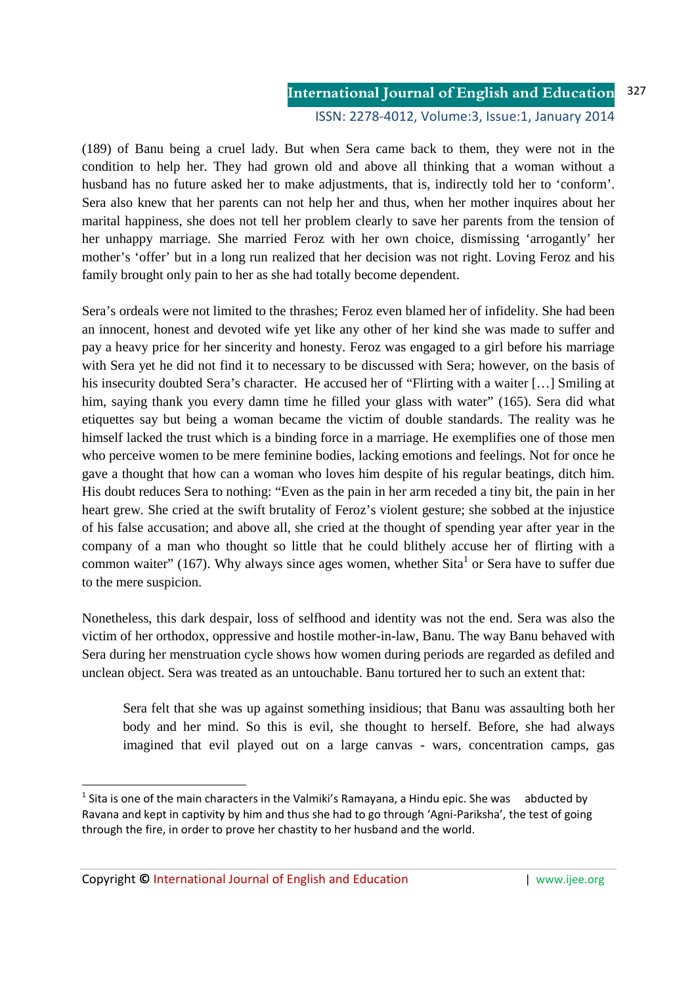#### **International Journal of English and Education** ISSN: 2278-4012, Volume:3, Issue:1, January 2014 327

(189) of Banu being a cruel lady. But when Sera came back to them, they were not in the condition to help her. They had grown old and above all thinking that a woman without a husband has no future asked her to make adjustments, that is, indirectly told her to 'conform'. Sera also knew that her parents can not help her and thus, when her mother inquires about her marital happiness, she does not tell her problem clearly to save her parents from the tension of her unhappy marriage. She married Feroz with her own choice, dismissing 'arrogantly' her mother's 'offer' but in a long run realized that her decision was not right. Loving Feroz and his family brought only pain to her as she had totally become dependent.

Sera's ordeals were not limited to the thrashes; Feroz even blamed her of infidelity. She had been an innocent, honest and devoted wife yet like any other of her kind she was made to suffer and pay a heavy price for her sincerity and honesty. Feroz was engaged to a girl before his marriage with Sera yet he did not find it to necessary to be discussed with Sera; however, on the basis of his insecurity doubted Sera's character. He accused her of "Flirting with a waiter [...] Smiling at him, saying thank you every damn time he filled your glass with water" (165). Sera did what etiquettes say but being a woman became the victim of double standards. The reality was he himself lacked the trust which is a binding force in a marriage. He exemplifies one of those men who perceive women to be mere feminine bodies, lacking emotions and feelings. Not for once he gave a thought that how can a woman who loves him despite of his regular beatings, ditch him. His doubt reduces Sera to nothing: "Even as the pain in her arm receded a tiny bit, the pain in her heart grew. She cried at the swift brutality of Feroz's violent gesture; she sobbed at the injustice of his false accusation; and above all, she cried at the thought of spending year after year in the company of a man who thought so little that he could blithely accuse her of flirting with a common waiter" (167). Why always since ages women, whether Sita<sup>1</sup> or Sera have to suffer due to the mere suspicion.

Nonetheless, this dark despair, loss of selfhood and identity was not the end. Sera was also the victim of her orthodox, oppressive and hostile mother-in-law, Banu. The way Banu behaved with Sera during her menstruation cycle shows how women during periods are regarded as defiled and unclean object. Sera was treated as an untouchable. Banu tortured her to such an extent that:

Sera felt that she was up against something insidious; that Banu was assaulting both her body and her mind. So this is evil, she thought to herself. Before, she had always imagined that evil played out on a large canvas - wars, concentration camps, gas

<u>.</u>

<sup>&</sup>lt;sup>1</sup> Sita is one of the main characters in the Valmiki's Ramayana, a Hindu epic. She was abducted by Ravana and kept in captivity by him and thus she had to go through 'Agni-Pariksha', the test of going through the fire, in order to prove her chastity to her husband and the world.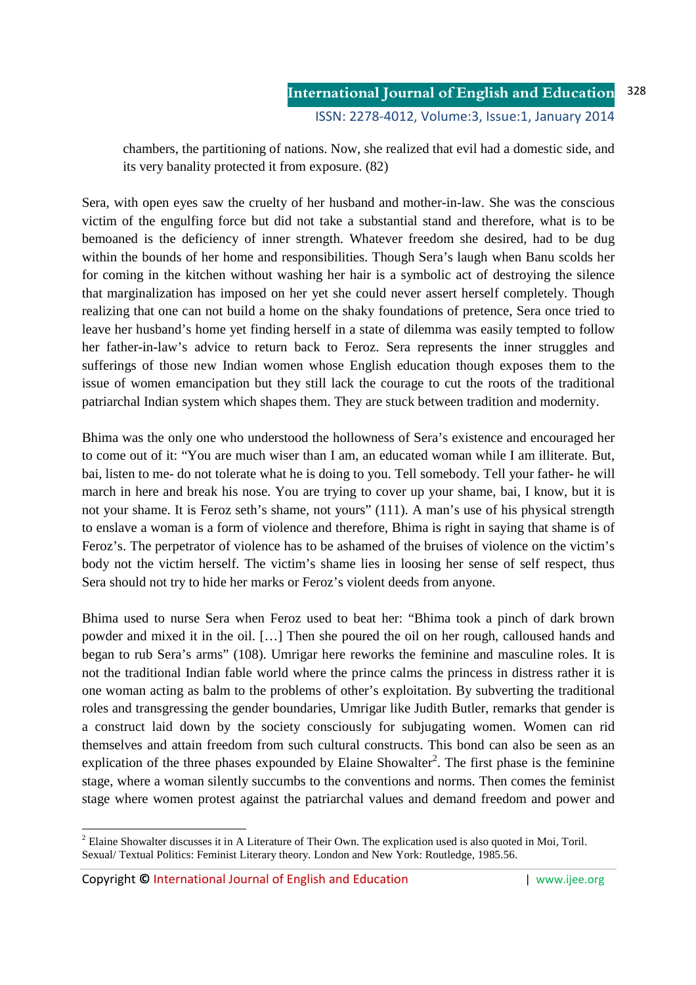chambers, the partitioning of nations. Now, she realized that evil had a domestic side, and its very banality protected it from exposure. (82)

Sera, with open eyes saw the cruelty of her husband and mother-in-law. She was the conscious victim of the engulfing force but did not take a substantial stand and therefore, what is to be bemoaned is the deficiency of inner strength. Whatever freedom she desired, had to be dug within the bounds of her home and responsibilities. Though Sera's laugh when Banu scolds her for coming in the kitchen without washing her hair is a symbolic act of destroying the silence that marginalization has imposed on her yet she could never assert herself completely. Though realizing that one can not build a home on the shaky foundations of pretence, Sera once tried to leave her husband's home yet finding herself in a state of dilemma was easily tempted to follow her father-in-law's advice to return back to Feroz. Sera represents the inner struggles and sufferings of those new Indian women whose English education though exposes them to the issue of women emancipation but they still lack the courage to cut the roots of the traditional patriarchal Indian system which shapes them. They are stuck between tradition and modernity.

Bhima was the only one who understood the hollowness of Sera's existence and encouraged her to come out of it: "You are much wiser than I am, an educated woman while I am illiterate. But, bai, listen to me- do not tolerate what he is doing to you. Tell somebody. Tell your father- he will march in here and break his nose. You are trying to cover up your shame, bai, I know, but it is not your shame. It is Feroz seth's shame, not yours" (111). A man's use of his physical strength to enslave a woman is a form of violence and therefore, Bhima is right in saying that shame is of Feroz's. The perpetrator of violence has to be ashamed of the bruises of violence on the victim's body not the victim herself. The victim's shame lies in loosing her sense of self respect, thus Sera should not try to hide her marks or Feroz's violent deeds from anyone.

Bhima used to nurse Sera when Feroz used to beat her: "Bhima took a pinch of dark brown powder and mixed it in the oil. […] Then she poured the oil on her rough, calloused hands and began to rub Sera's arms" (108). Umrigar here reworks the feminine and masculine roles. It is not the traditional Indian fable world where the prince calms the princess in distress rather it is one woman acting as balm to the problems of other's exploitation. By subverting the traditional roles and transgressing the gender boundaries, Umrigar like Judith Butler, remarks that gender is a construct laid down by the society consciously for subjugating women. Women can rid themselves and attain freedom from such cultural constructs. This bond can also be seen as an explication of the three phases expounded by Elaine Showalter<sup>2</sup>. The first phase is the feminine stage, where a woman silently succumbs to the conventions and norms. Then comes the feminist stage where women protest against the patriarchal values and demand freedom and power and

-

 $2^2$  Elaine Showalter discusses it in A Literature of Their Own. The explication used is also quoted in Moi, Toril. Sexual/ Textual Politics: Feminist Literary theory. London and New York: Routledge, 1985.56.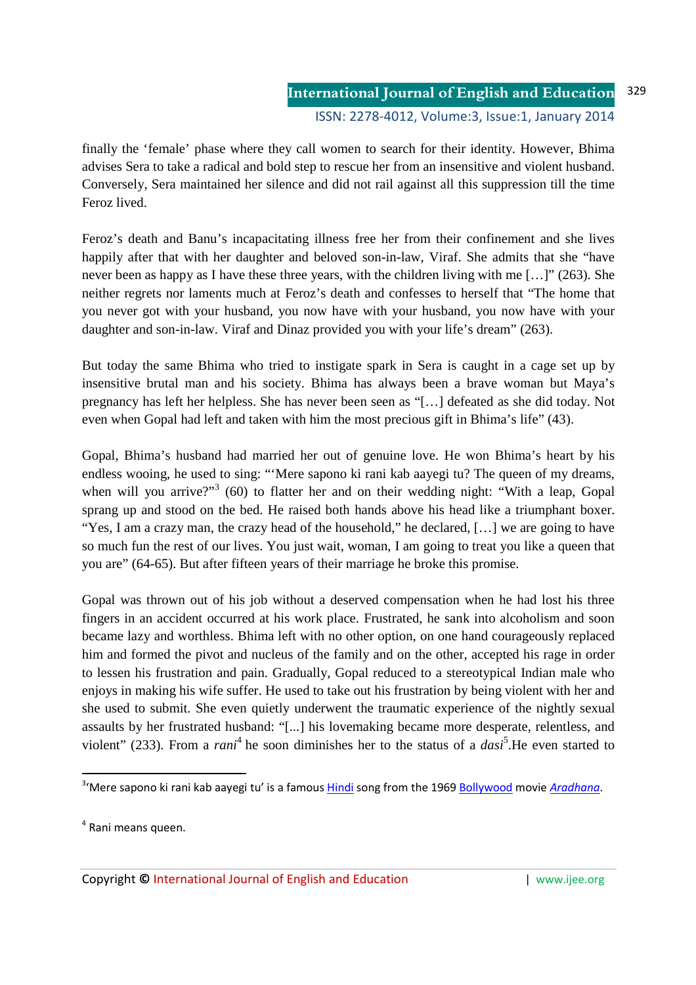finally the 'female' phase where they call women to search for their identity. However, Bhima advises Sera to take a radical and bold step to rescue her from an insensitive and violent husband. Conversely, Sera maintained her silence and did not rail against all this suppression till the time Feroz lived.

Feroz's death and Banu's incapacitating illness free her from their confinement and she lives happily after that with her daughter and beloved son-in-law, Viraf. She admits that she "have never been as happy as I have these three years, with the children living with me […]" (263). She neither regrets nor laments much at Feroz's death and confesses to herself that "The home that you never got with your husband, you now have with your husband, you now have with your daughter and son-in-law. Viraf and Dinaz provided you with your life's dream" (263).

But today the same Bhima who tried to instigate spark in Sera is caught in a cage set up by insensitive brutal man and his society. Bhima has always been a brave woman but Maya's pregnancy has left her helpless. She has never been seen as "[…] defeated as she did today. Not even when Gopal had left and taken with him the most precious gift in Bhima's life" (43).

Gopal, Bhima's husband had married her out of genuine love. He won Bhima's heart by his endless wooing, he used to sing: "'Mere sapono ki rani kab aayegi tu? The queen of my dreams, when will you arrive?"<sup>3</sup> (60) to flatter her and on their wedding night: "With a leap, Gopal sprang up and stood on the bed. He raised both hands above his head like a triumphant boxer. "Yes, I am a crazy man, the crazy head of the household," he declared, […] we are going to have so much fun the rest of our lives. You just wait, woman, I am going to treat you like a queen that you are" (64-65). But after fifteen years of their marriage he broke this promise.

Gopal was thrown out of his job without a deserved compensation when he had lost his three fingers in an accident occurred at his work place. Frustrated, he sank into alcoholism and soon became lazy and worthless. Bhima left with no other option, on one hand courageously replaced him and formed the pivot and nucleus of the family and on the other, accepted his rage in order to lessen his frustration and pain. Gradually, Gopal reduced to a stereotypical Indian male who enjoys in making his wife suffer. He used to take out his frustration by being violent with her and she used to submit. She even quietly underwent the traumatic experience of the nightly sexual assaults by her frustrated husband: "[...] his lovemaking became more desperate, relentless, and violent" (233). From a *rani*<sup>4</sup> he soon diminishes her to the status of a *dasi*<sup>5</sup>. He even started to

<u>.</u>

<sup>&</sup>lt;sup>3</sup>'Mere sapono ki rani kab aayegi tu' is a famous <u>Hindi</u> song from the 1969 Bollywood movie Aradhana.

<sup>&</sup>lt;sup>4</sup> Rani means queen.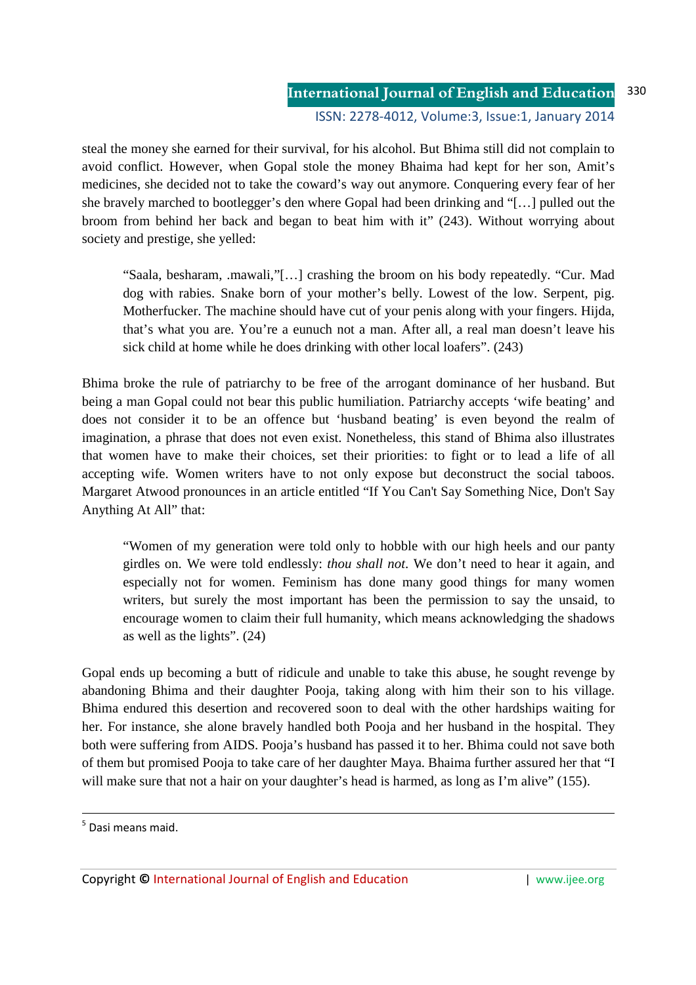### **International Journal of English and Education** ISSN: 2278-4012, Volume:3, Issue:1, January 2014 330

steal the money she earned for their survival, for his alcohol. But Bhima still did not complain to avoid conflict. However, when Gopal stole the money Bhaima had kept for her son, Amit's medicines, she decided not to take the coward's way out anymore. Conquering every fear of her she bravely marched to bootlegger's den where Gopal had been drinking and "[…] pulled out the broom from behind her back and began to beat him with it" (243). Without worrying about society and prestige, she yelled:

"Saala, besharam, .mawali,"[…] crashing the broom on his body repeatedly. "Cur. Mad dog with rabies. Snake born of your mother's belly. Lowest of the low. Serpent, pig. Motherfucker. The machine should have cut of your penis along with your fingers. Hijda, that's what you are. You're a eunuch not a man. After all, a real man doesn't leave his sick child at home while he does drinking with other local loafers". (243)

Bhima broke the rule of patriarchy to be free of the arrogant dominance of her husband. But being a man Gopal could not bear this public humiliation. Patriarchy accepts 'wife beating' and does not consider it to be an offence but 'husband beating' is even beyond the realm of imagination, a phrase that does not even exist. Nonetheless, this stand of Bhima also illustrates that women have to make their choices, set their priorities: to fight or to lead a life of all accepting wife. Women writers have to not only expose but deconstruct the social taboos. Margaret Atwood pronounces in an article entitled "If You Can't Say Something Nice, Don't Say Anything At All" that:

"Women of my generation were told only to hobble with our high heels and our panty girdles on. We were told endlessly: *thou shall not*. We don't need to hear it again, and especially not for women. Feminism has done many good things for many women writers, but surely the most important has been the permission to say the unsaid, to encourage women to claim their full humanity, which means acknowledging the shadows as well as the lights". (24)

Gopal ends up becoming a butt of ridicule and unable to take this abuse, he sought revenge by abandoning Bhima and their daughter Pooja, taking along with him their son to his village. Bhima endured this desertion and recovered soon to deal with the other hardships waiting for her. For instance, she alone bravely handled both Pooja and her husband in the hospital. They both were suffering from AIDS. Pooja's husband has passed it to her. Bhima could not save both of them but promised Pooja to take care of her daughter Maya. Bhaima further assured her that "I will make sure that not a hair on your daughter's head is harmed, as long as I'm alive" (155).

<u>.</u>

<sup>&</sup>lt;sup>5</sup> Dasi means maid.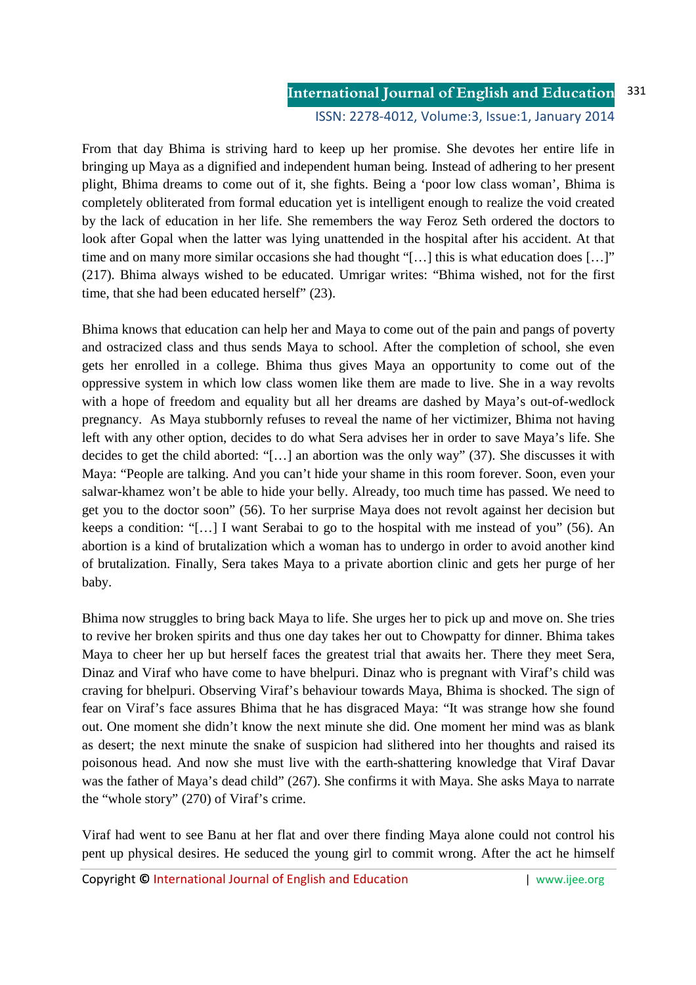#### **International Journal of English and Education** ISSN: 2278-4012, Volume:3, Issue:1, January 2014 331

From that day Bhima is striving hard to keep up her promise. She devotes her entire life in bringing up Maya as a dignified and independent human being. Instead of adhering to her present plight, Bhima dreams to come out of it, she fights. Being a 'poor low class woman', Bhima is completely obliterated from formal education yet is intelligent enough to realize the void created by the lack of education in her life. She remembers the way Feroz Seth ordered the doctors to look after Gopal when the latter was lying unattended in the hospital after his accident. At that time and on many more similar occasions she had thought "[...] this is what education does [...]" (217). Bhima always wished to be educated. Umrigar writes: "Bhima wished, not for the first time, that she had been educated herself" (23).

Bhima knows that education can help her and Maya to come out of the pain and pangs of poverty and ostracized class and thus sends Maya to school. After the completion of school, she even gets her enrolled in a college. Bhima thus gives Maya an opportunity to come out of the oppressive system in which low class women like them are made to live. She in a way revolts with a hope of freedom and equality but all her dreams are dashed by Maya's out-of-wedlock pregnancy. As Maya stubbornly refuses to reveal the name of her victimizer, Bhima not having left with any other option, decides to do what Sera advises her in order to save Maya's life. She decides to get the child aborted: "[…] an abortion was the only way" (37). She discusses it with Maya: "People are talking. And you can't hide your shame in this room forever. Soon, even your salwar-khamez won't be able to hide your belly. Already, too much time has passed. We need to get you to the doctor soon" (56). To her surprise Maya does not revolt against her decision but keeps a condition: "[…] I want Serabai to go to the hospital with me instead of you" (56). An abortion is a kind of brutalization which a woman has to undergo in order to avoid another kind of brutalization. Finally, Sera takes Maya to a private abortion clinic and gets her purge of her baby.

Bhima now struggles to bring back Maya to life. She urges her to pick up and move on. She tries to revive her broken spirits and thus one day takes her out to Chowpatty for dinner. Bhima takes Maya to cheer her up but herself faces the greatest trial that awaits her. There they meet Sera, Dinaz and Viraf who have come to have bhelpuri. Dinaz who is pregnant with Viraf's child was craving for bhelpuri. Observing Viraf's behaviour towards Maya, Bhima is shocked. The sign of fear on Viraf's face assures Bhima that he has disgraced Maya: "It was strange how she found out. One moment she didn't know the next minute she did. One moment her mind was as blank as desert; the next minute the snake of suspicion had slithered into her thoughts and raised its poisonous head. And now she must live with the earth-shattering knowledge that Viraf Davar was the father of Maya's dead child" (267). She confirms it with Maya. She asks Maya to narrate the "whole story" (270) of Viraf's crime.

Viraf had went to see Banu at her flat and over there finding Maya alone could not control his pent up physical desires. He seduced the young girl to commit wrong. After the act he himself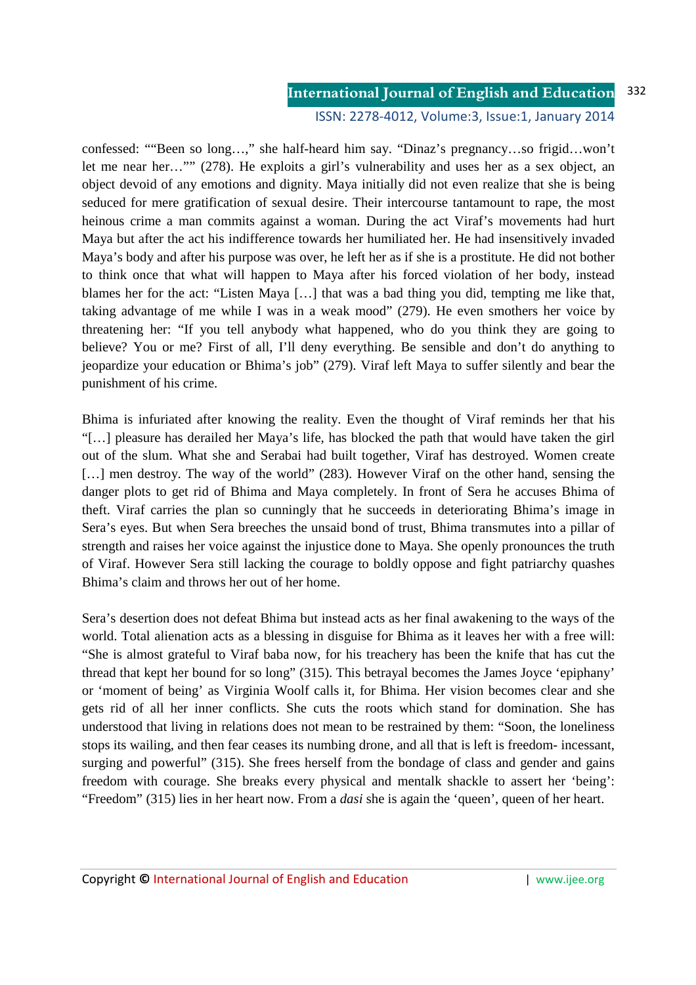#### **International Journal of English and Education** 332

### ISSN: 2278-4012, Volume:3, Issue:1, January 2014

confessed: ""Been so long…," she half-heard him say. "Dinaz's pregnancy…so frigid…won't let me near her…"" (278). He exploits a girl's vulnerability and uses her as a sex object, an object devoid of any emotions and dignity. Maya initially did not even realize that she is being seduced for mere gratification of sexual desire. Their intercourse tantamount to rape, the most heinous crime a man commits against a woman. During the act Viraf's movements had hurt Maya but after the act his indifference towards her humiliated her. He had insensitively invaded Maya's body and after his purpose was over, he left her as if she is a prostitute. He did not bother to think once that what will happen to Maya after his forced violation of her body, instead blames her for the act: "Listen Maya […] that was a bad thing you did, tempting me like that, taking advantage of me while I was in a weak mood" (279). He even smothers her voice by threatening her: "If you tell anybody what happened, who do you think they are going to believe? You or me? First of all, I'll deny everything. Be sensible and don't do anything to jeopardize your education or Bhima's job" (279). Viraf left Maya to suffer silently and bear the punishment of his crime.

Bhima is infuriated after knowing the reality. Even the thought of Viraf reminds her that his "[…] pleasure has derailed her Maya's life, has blocked the path that would have taken the girl out of the slum. What she and Serabai had built together, Viraf has destroyed. Women create [...] men destroy. The way of the world" (283). However Viraf on the other hand, sensing the danger plots to get rid of Bhima and Maya completely. In front of Sera he accuses Bhima of theft. Viraf carries the plan so cunningly that he succeeds in deteriorating Bhima's image in Sera's eyes. But when Sera breeches the unsaid bond of trust, Bhima transmutes into a pillar of strength and raises her voice against the injustice done to Maya. She openly pronounces the truth of Viraf. However Sera still lacking the courage to boldly oppose and fight patriarchy quashes Bhima's claim and throws her out of her home.

Sera's desertion does not defeat Bhima but instead acts as her final awakening to the ways of the world. Total alienation acts as a blessing in disguise for Bhima as it leaves her with a free will: "She is almost grateful to Viraf baba now, for his treachery has been the knife that has cut the thread that kept her bound for so long" (315). This betrayal becomes the James Joyce 'epiphany' or 'moment of being' as Virginia Woolf calls it, for Bhima. Her vision becomes clear and she gets rid of all her inner conflicts. She cuts the roots which stand for domination. She has understood that living in relations does not mean to be restrained by them: "Soon, the loneliness stops its wailing, and then fear ceases its numbing drone, and all that is left is freedom- incessant, surging and powerful" (315). She frees herself from the bondage of class and gender and gains freedom with courage. She breaks every physical and mentalk shackle to assert her 'being': "Freedom" (315) lies in her heart now. From a *dasi* she is again the 'queen', queen of her heart.